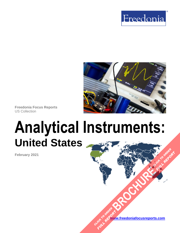



**Freedonia Focus Reports** US Collection

# **Analytical Instruments: United States [BROCHURE](https://www.freedoniafocusreports.com/Analytical-Instruments-United-States-FF80013/?progid=89541) CLICK TO ORDER**

**February 2021**

**[www.freedoniafocusreports.com](https://www.freedoniafocusreports.com/redirect.asp?progid=89534&url=/)** CLICK TO ORDER **FULL REPORT** 

**FULL REPORT**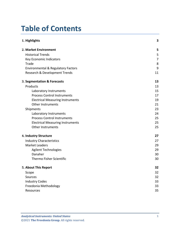# **Table of Contents**

| 1. Highlights                                 | 3  |
|-----------------------------------------------|----|
| 2. Market Environment                         | 5  |
| <b>Historical Trends</b>                      | 5  |
| Key Economic Indicators                       | 7  |
| Trade                                         | 8  |
| <b>Environmental &amp; Regulatory Factors</b> | 9  |
| Research & Development Trends                 | 11 |
| 3. Segmentation & Forecasts                   | 13 |
| Products                                      | 13 |
| Laboratory Instruments                        | 15 |
| <b>Process Control Instruments</b>            | 17 |
| <b>Electrical Measuring Instruments</b>       | 19 |
| <b>Other Instruments</b>                      | 21 |
| Shipments                                     | 23 |
| Laboratory Instruments                        | 24 |
| <b>Process Control Instruments</b>            | 25 |
| <b>Electrical Measuring Instruments</b>       | 25 |
| <b>Other Instruments</b>                      | 25 |
| 4. Industry Structure                         | 27 |
| <b>Industry Characteristics</b>               | 27 |
| <b>Market Leaders</b>                         | 29 |
| <b>Agilent Technologies</b>                   | 29 |
| Danaher                                       | 30 |
| Thermo Fisher Scientific                      | 30 |
| 5. About This Report                          | 32 |
| Scope                                         | 32 |
| Sources                                       | 32 |
| <b>Industry Codes</b>                         | 33 |
| Freedonia Methodology                         | 33 |
| Resources                                     | 35 |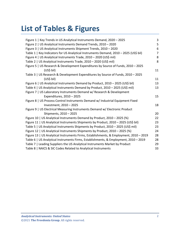# **List of Tables & Figures**

| Figure 1   Key Trends in US Analytical Instruments Demand, 2020 - 2025                 | 3               |
|----------------------------------------------------------------------------------------|-----------------|
| Figure 2   US Analytical Instruments Demand Trends, 2010 - 2020                        | 5               |
| Figure 3   US Analytical Instruments Shipment Trends, 2010 - 2020                      | $6\phantom{1}6$ |
| Table 1   Key Indicators for US Analytical Instruments Demand, 2010 - 2025 (US\$ bil)  | $\overline{7}$  |
| Figure 4   US Analytical Instruments Trade, 2010 - 2020 (US\$ mil)                     | 8               |
| Table 2   US Analytical Instruments Trade, 2010 - 2020 (US\$ mil)                      | 8               |
| Figure 5   US Research & Development Expenditures by Source of Funds, 2010 - 2025      |                 |
| (US\$ bil)                                                                             | 11              |
| Table 3   US Research & Development Expenditures by Source of Funds, 2010 - 2025       |                 |
| (US\$ bil)                                                                             | 11              |
| Figure 6   US Analytical Instruments Demand by Product, 2010 - 2025 (US\$ bil)         | 13              |
| Table 4   US Analytical Instruments Demand by Product, 2010 - 2025 (US\$ mil)          | 13              |
| Figure 7   US Laboratory Instruments Demand w/ Research & Development                  |                 |
| Expenditures, 2010 - 2025                                                              | 15              |
| Figure 8   US Process Control Instruments Demand w/ Industrial Equipment Fixed         |                 |
| Investment, 2010 - 2025                                                                | 18              |
| Figure 9   US Electrical Measuring Instruments Demand w/ Electronic Product            |                 |
| Shipments, 2010 - 2025                                                                 | 20              |
| Figure 10   US Analytical Instruments Demand by Product, 2010 - 2025 (%)               | 22              |
| Figure 11   US Analytical Instruments Shipments by Product, 2010 - 2025 (US\$ bil)     | 23              |
| Table 5   US Analytical Instruments Shipments by Product, 2010 - 2025 (US\$ mil)       | 23              |
| Figure 12   US Analytical Instruments Shipments by Product, 2010 - 2025 (%)            | 24              |
| Figure 13   US Analytical Instruments Firms, Establishments, & Employment, 2010 - 2019 | 28              |
| Table 6   US Analytical Instruments Firms, Establishments, & Employment, 2010 - 2019   | 28              |
| Table 7   Leading Suppliers the US Analytical Instruments Market by Product            | 29              |
| Table 8   NAICS & SIC Codes Related to Analytical Instruments                          | 33              |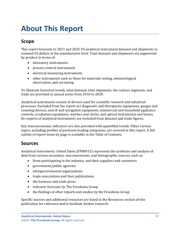# <span id="page-3-0"></span>**About This Report**

# <span id="page-3-1"></span>**Scope**

This report forecasts to 2021 and 2025 US analytical instrument demand and shipments in nominal US dollars at the manufacturer level. Total demand and shipments are segmented by product in terms of:

- laboratory instruments
- process control instruments
- electrical measuring instruments
- other instruments such as those for materials testing, meteorological observation, and surveying

To illustrate historical trends, total demand, total shipments, the various segments, and trade are provided in annual series from 2010 to 2020.

Analytical instruments consist of devices used for scientific research and industrial processes. Excluded from the report are diagnostic and therapeutic equipment, gauges and counting devices, search and navigation equipment, commercial and household appliance controls, irradiation equipment, watches and clocks, and optical instruments and lenses. Re-exports of analytical instruments are excluded from demand and trade figures.

Key macroeconomic indicators are also provided with quantified trends. Other various topics, including profiles of pertinent leading companies, are covered in this report. A full outline of report items by page is available in the Table of Contents.

# <span id="page-3-2"></span>**Sources**

*Analytical Instruments: United States* (FF80013) represents the synthesis and analysis of data from various secondary, macroeconomic, and demographic sources, such as:

- firms participating in the industry, and their suppliers and customers
- government/public agencies
- intergovernmental organizations
- trade associations and their publications
- the business and trade press
- indicator forecasts by The Freedonia Group
- the findings of other reports and studies by the Freedonia Group

Specific sources and additional resources are listed in the Resources section of this publication for reference and to facilitate further research.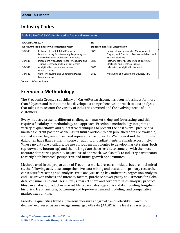# <span id="page-4-0"></span>**Industry Codes**

<span id="page-4-2"></span>

| Table 8   NAICS & SIC Codes Related to Analytical Instruments |                                                                                                                                                                                                                                        |                                           |                                                                                                                                                                                                               |  |
|---------------------------------------------------------------|----------------------------------------------------------------------------------------------------------------------------------------------------------------------------------------------------------------------------------------|-------------------------------------------|---------------------------------------------------------------------------------------------------------------------------------------------------------------------------------------------------------------|--|
| <b>NAICS/SCIAN 2017</b>                                       |                                                                                                                                                                                                                                        | <b>SIC</b>                                |                                                                                                                                                                                                               |  |
| North American Industry Classification System                 |                                                                                                                                                                                                                                        | <b>Standard Industrial Classification</b> |                                                                                                                                                                                                               |  |
| 334513<br>334515                                              | Instruments and Related Products<br>Manufacturing for Measuring, Displaying, and<br><b>Controlling Industrial Process Variables</b><br>Instrument Manufacturing for Measuring and<br><b>Testing Electricity and Electrical Signals</b> | 3823<br>3825                              | Industrial Instruments for Measurement,<br>Display, and Control of Process Variables; and<br><b>Related Products</b><br>Instruments for Measuring and Testing of<br><b>Electricity and Electrical Signals</b> |  |
| 334516                                                        | Analytical Laboratory Instrument<br>Manufacturing                                                                                                                                                                                      | 3826                                      | Laboratory Analytical Instruments                                                                                                                                                                             |  |
| 334519                                                        | <b>Other Measuring and Controlling Device</b><br>Manufacturing                                                                                                                                                                         | 3829                                      | Measuring and Controlling Devices, NEC                                                                                                                                                                        |  |

Source: US Census Bureau

# <span id="page-4-1"></span>**Freedonia Methodology**

The Freedonia Group, a subsidiary of MarketResearch.com, has been in business for more than 30 years and in that time has developed a comprehensive approach to data analysis that takes into account the variety of industries covered and the evolving needs of our customers.

Every industry presents different challenges in market sizing and forecasting, and this requires flexibility in methodology and approach. Freedonia methodology integrates a variety of quantitative and qualitative techniques to present the best overall picture of a market's current position as well as its future outlook: When published data are available, we make sure they are correct and representative of reality. We understand that published data often have flaws either in scope or quality, and adjustments are made accordingly. Where no data are available, we use various methodologies to develop market sizing (both top-down and bottom-up) and then triangulate those results to come up with the most accurate data series possible. Regardless of approach, we also talk to industry participants to verify both historical perspective and future growth opportunities.

Methods used in the preparation of Freedonia market research include, but are not limited to, the following activities: comprehensive data mining and evaluation, primary research, consensus forecasting and analysis, ratio analysis using key indicators, regression analysis, end use growth indices and intensity factors, purchase power parity adjustments for global data, consumer and end user surveys, market share and corporate sales analysis, product lifespan analysis, product or market life cycle analysis, graphical data modeling, long-term historical trend analysis, bottom-up and top-down demand modeling, and comparative market size ranking.

Freedonia quantifies trends in various measures of growth and volatility. Growth (or decline) expressed as an average annual growth rate (AAGR) is the least squares growth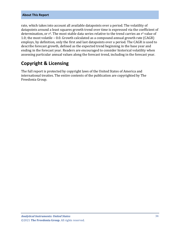#### **About This Report**

rate, which takes into account all available datapoints over a period. The volatility of datapoints around a least squares growth trend over time is expressed via the coefficient of determination, or r<sup>2</sup>. The most stable data series relative to the trend carries an r<sup>2</sup> value of 1.0; the most volatile – 0.0. Growth calculated as a compound annual growth rate (CAGR) employs, by definition, only the first and last datapoints over a period. The CAGR is used to describe forecast growth, defined as the expected trend beginning in the base year and ending in the forecast year. Readers are encouraged to consider historical volatility when assessing particular annual values along the forecast trend, including in the forecast year.

# **Copyright & Licensing**

The full report is protected by copyright laws of the United States of America and international treaties. The entire contents of the publication are copyrighted by The Freedonia Group.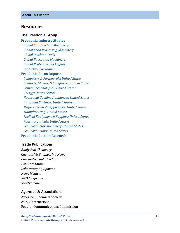## <span id="page-6-0"></span>**Resources**

#### **The Freedonia Group**

#### **[Freedonia Industry Studies](http://www.freedoniagroup.com/Home.aspx?ReferrerId=FL-Focus)**

 *[Global Construction Machinery](http://www.freedoniagroup.com/DocumentDetails.aspx?ReferrerId=FL-FOCUS&studyid=3728) [Global Food Processing Machinery](http://www.freedoniagroup.com/DocumentDetails.aspx?ReferrerId=FL-FOCUS&studyid=3809) [Global Machine Tools](http://www.freedoniagroup.com/DocumentDetails.aspx?ReferrerId=FL-FOCUS&studyid=3806) [Global Packaging Machinery](http://www.freedoniagroup.com/DocumentDetails.aspx?ReferrerId=FL-FOCUS&studyid=3788) [Global Protective Packaging](http://www.freedoniagroup.com/DocumentDetails.aspx?ReferrerId=FL-FOCUS&studyid=3741) [Protective Packaging](http://www.freedoniagroup.com/DocumentDetails.aspx?ReferrerId=FL-FOCUS&studyid=3797)*

#### **[Freedonia Focus Reports](https://www.freedoniafocusreports.com/redirect.asp?progid=89534&url=/)**

 *[Computers & Peripherals: United States](https://www.freedoniafocusreports.com/Computers-Peripherals-United-States-FF80047/?progid=89534) [Contacts, Glasses, & Sunglasses: United States](https://www.freedoniafocusreports.com/Contacts-Glasses-Sunglasses-United-States-FF40088/?progid=89534) [Control Technologies: United States](https://www.freedoniafocusreports.com/Control-Technologies-United-States-FF75016/?progid=89534) [Energy: United States](https://www.freedoniafocusreports.com/Energy-United-States-FF45043/?progid=89534) [Household Cooking Appliances: United States](https://www.freedoniafocusreports.com/Household-Cooking-Appliances-United-States-FF90026/?progid=89534) [Industrial Castings: United States](https://www.freedoniafocusreports.com/Industrial-Castings-United-States-FF65026/?progid=89534) [Major Household Appliances: United States](https://www.freedoniafocusreports.com/Major-Household-Appliances-United-States-FF90017/?progid=89534) [Manufacturing: United States](https://www.freedoniafocusreports.com/Manufacturing-United-States-FF70032/?progid=89534) [Medical Equipment & Supplies: United States](https://www.freedoniafocusreports.com/Medical-Equipment-Supplies-United-States-FF40018/?progid=89534) [Pharmaceuticals: United States](https://www.freedoniafocusreports.com/Pharmaceuticals-United-States-FF40040/?progid=89534) [Semiconductor Machinery: United States](https://www.freedoniafocusreports.com/Semiconductor-Machinery-United-States-FF75028/?progid=89534) [Semiconductors:](https://www.freedoniafocusreports.com/Semiconductors-United-States-FF80023/?progid=89534) United States* **[Freedonia Custom Research](http://www.freedoniagroup.com/CustomResearch.aspx?ReferrerId=FL-Focus)**

## **Trade Publications**

*Analytical Chemistry Chemical & Engineering News Chromatography Today Labmate Online Laboratory Equipment News Medical R&D Magazine Spectroscopy*

#### **Agencies & Associations**

American Chemical Society AOAC International Federal Communications Commission